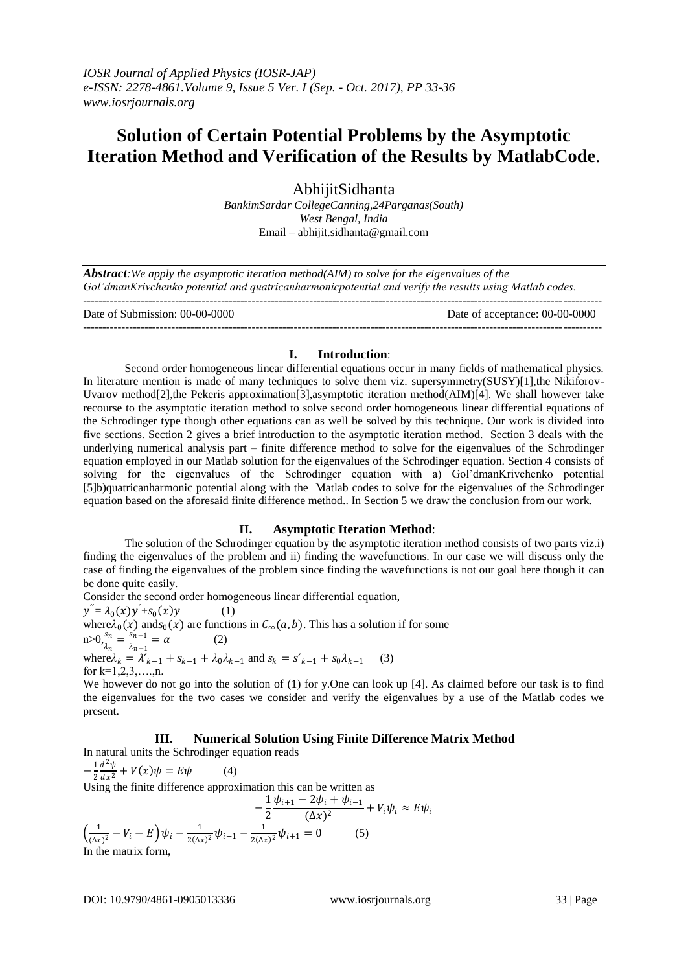# **Solution of Certain Potential Problems by the Asymptotic Iteration Method and Verification of the Results by MatlabCode**.

AbhijitSidhanta *BankimSardar CollegeCanning,24Parganas(South) West Bengal, India* Email – abhijit.sidhanta@gmail.com

*Abstract:We apply the asymptotic iteration method(AIM) to solve for the eigenvalues of the Gol'dmanKrivchenko potential and quatricanharmonicpotential and verify the results using Matlab codes.*  ---------------------------------------------------------------------------------------------------------------------------------------

Date of Submission: 00-00-0000 Date of acceptance: 00-00-0000 ---------------------------------------------------------------------------------------------------------------------------------------

# **I. Introduction**:

Second order homogeneous linear differential equations occur in many fields of mathematical physics. In literature mention is made of many techniques to solve them viz. supersymmetry(SUSY)[1], the Nikiforov-Uvarov method[2],the Pekeris approximation[3],asymptotic iteration method(AIM)[4]. We shall however take recourse to the asymptotic iteration method to solve second order homogeneous linear differential equations of the Schrodinger type though other equations can as well be solved by this technique. Our work is divided into five sections. Section 2 gives a brief introduction to the asymptotic iteration method. Section 3 deals with the underlying numerical analysis part – finite difference method to solve for the eigenvalues of the Schrodinger equation employed in our Matlab solution for the eigenvalues of the Schrodinger equation. Section 4 consists of solving for the eigenvalues of the Schrodinger equation with a) Gol'dmanKrivchenko potential [5]b)quatricanharmonic potential along with the Matlab codes to solve for the eigenvalues of the Schrodinger equation based on the aforesaid finite difference method.. In Section 5 we draw the conclusion from our work.

# **II. Asymptotic Iteration Method**:

The solution of the Schrodinger equation by the asymptotic iteration method consists of two parts viz.i) finding the eigenvalues of the problem and ii) finding the wavefunctions. In our case we will discuss only the case of finding the eigenvalues of the problem since finding the wavefunctions is not our goal here though it can be done quite easily.

Consider the second order homogeneous linear differential equation,  $y'' = \lambda_0(x)y' + s_0(x)y$  (1) where  $\lambda_0(x)$  and  $s_0(x)$  are functions in  $C_\infty(a, b)$ . This has a solution if for some  $n > 0, \frac{s_n}{1}$  $\frac{s_n}{\lambda_n} = \frac{s_{n-1}}{\lambda_{n-1}}$  $\frac{s_{n-1}}{\lambda_{n-1}} = \alpha$  (2) where  $\lambda_k = \lambda'_{k-1} + s_{k-1} + \lambda_0 \lambda_{k-1}$  and  $s_k = s'_{k-1} + s_0 \lambda_{k-1}$ (3) for  $k=1,2,3,...,n$ .

We however do not go into the solution of (1) for y.One can look up [4]. As claimed before our task is to find the eigenvalues for the two cases we consider and verify the eigenvalues by a use of the Matlab codes we present.

# **III. Numerical Solution Using Finite Difference Matrix Method**

In natural units the Schrodinger equation reads

$$
-\frac{1}{2}\frac{d^2\psi}{dx^2} + V(x)\psi = E\psi
$$
 (4)  
Using the finite difference approximation this can be written as  

$$
-\frac{1}{2}\frac{\psi_{i+1} - 2\psi_i + \psi_{i-1}}{(\Delta x)^2} +
$$

 $+ V_i \psi_i \approx E \psi_i$  $\left(\frac{1}{\sqrt{2}}\right)$  $\frac{1}{(\Delta x)^2} - V_i - E \Big) \psi_i - \frac{1}{2(\Delta x)}$  $\frac{1}{2(\Delta x)^2} \psi_{i-1} - \frac{1}{2(\Delta x)}$  $\frac{1}{2(\Delta x)^2} \psi_{i+1} = 0$  (5) In the matrix form,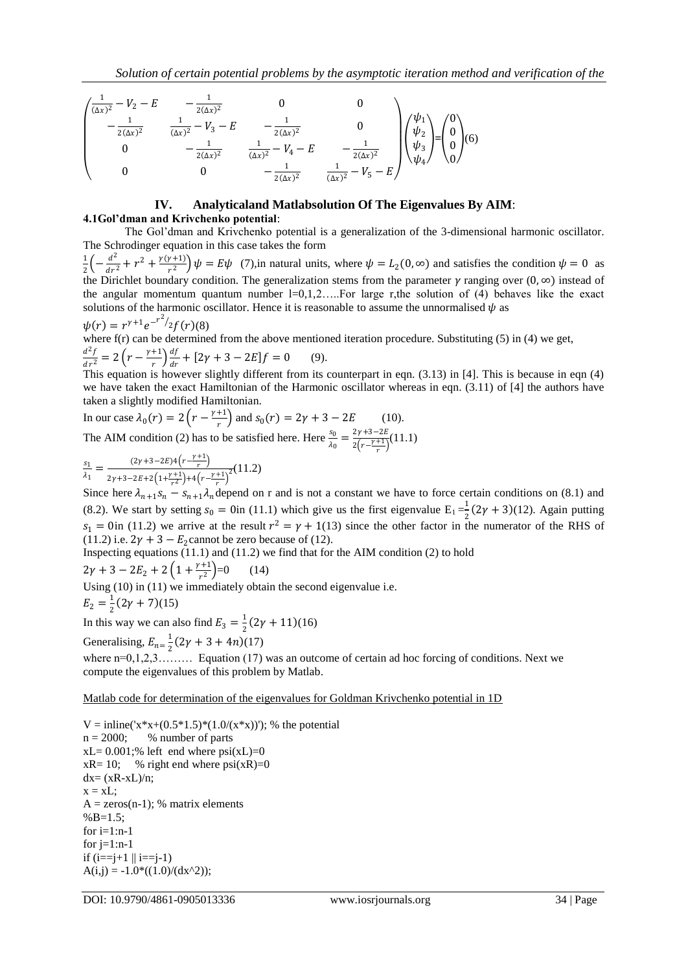$$
\begin{pmatrix}\n\frac{1}{(\Delta x)^2} - V_2 - E & -\frac{1}{2(\Delta x)^2} & 0 & 0 \\
-\frac{1}{2(\Delta x)^2} & \frac{1}{(\Delta x)^2} - V_3 - E & -\frac{1}{2(\Delta x)^2} & 0 \\
0 & -\frac{1}{2(\Delta x)^2} & \frac{1}{(\Delta x)^2} - V_4 - E & -\frac{1}{2(\Delta x)^2} \\
0 & 0 & -\frac{1}{2(\Delta x)^2} & \frac{1}{(\Delta x)^2} - V_5 - E\n\end{pmatrix}\n\begin{pmatrix}\n\psi_1 \\
\psi_2 \\
\psi_3 \\
0\n\end{pmatrix} = \begin{pmatrix}\n0 \\
0 \\
0 \\
0\n\end{pmatrix}
$$
(6)

# **IV. Analyticaland Matlabsolution Of The Eigenvalues By AIM**:

## **4.1Gol'dman and Krivchenko potential**:

The Gol'dman and Krivchenko potential is a generalization of the 3-dimensional harmonic oscillator. The Schrodinger equation in this case takes the form

1  $rac{1}{2} \left(-\frac{d^2}{dr^2}\right)$  $rac{d^2}{dr^2} + r^2 + \frac{\gamma(\gamma+1)}{r^2}$  $\left(\frac{\mu+1}{r^2}\right)\psi = E\psi$  (7), in natural units, where  $\psi = L_2(0, \infty)$  and satisfies the condition  $\psi = 0$  as the Dirichlet boundary condition. The generalization stems from the parameter  $\gamma$  ranging over  $(0, \infty)$  instead of the angular momentum quantum number  $l=0,1,2,\dots$  For large r,the solution of (4) behaves like the exact solutions of the harmonic oscillator. Hence it is reasonable to assume the unnormalised  $\psi$  as 2

$$
\psi(r) = r^{\gamma+1} e^{-r^2/2} f(r)(8)
$$
  
where f(r) can be determined from the above mentioned iteration procedure. Substituting (5) in (4) we get,  

$$
\frac{d^2f}{dr^2} = 2 \left( r - \frac{\gamma+1}{r} \right) \frac{df}{dr} + [2\gamma + 3 - 2E]f = 0
$$
(9).

This equation is however slightly different from its counterpart in eqn. (3.13) in [4]. This is because in eqn (4) we have taken the exact Hamiltonian of the Harmonic oscillator whereas in eqn. (3.11) of [4] the authors have taken a slightly modified Hamiltonian.

In our case 
$$
\lambda_0(r) = 2\left(r - \frac{\gamma + 1}{r}\right)
$$
 and  $s_0(r) = 2\gamma + 3 - 2E$  (10).

The AIM condition (2) has to be satisfied here. Here  $\frac{s_0}{\lambda_0} = \frac{2\gamma + 3 - 2E}{2(r - \frac{\gamma + 1}{r})}$  $\frac{2y+3-2E}{2(r-\frac{y+1}{r})}(11.1)$ 

$$
\frac{s_1}{\lambda_1} = \frac{(2\gamma + 3 - 2E)4\left(r - \frac{\gamma + 1}{r}\right)}{2\gamma + 3 - 2E + 2\left(1 + \frac{\gamma + 1}{r^2}\right) + 4\left(r - \frac{\gamma + 1}{r}\right)^2} (11.2)
$$

Since here  $\lambda_{n+1} s_n - s_{n+1} \lambda_n$  depend on r and is not a constant we have to force certain conditions on (8.1) and (8.2). We start by setting  $s_0 = 0$  in (11.1) which give us the first eigenvalue  $E_1 = \frac{1}{2}$  $\frac{1}{2}(2\gamma + 3)(12)$ . Again putting  $s_1 = 0$ in (11.2) we arrive at the result  $r^2 = \gamma + 1$ (13) since the other factor in the numerator of the RHS of (11.2) i.e.  $2\gamma + 3 - E_2$ cannot be zero because of (12).

Inspecting equations (11.1) and (11.2) we find that for the AIM condition (2) to hold

 $2\gamma + 3 - 2E_2 + 2\left(1 + \frac{\gamma + 1}{r^2}\right)$  $\left(\frac{1}{r^2}\right) = 0$  (14)

Using (10) in (11) we immediately obtain the second eigenvalue i.e.

$$
E_2 = \frac{1}{2}(2\gamma + 7)(15)
$$

In this way we can also find  $E_3 = \frac{1}{2}$  $\frac{1}{2}(2\gamma+11)(16)$ 

Generalising,  $E_{n=\frac{1}{2}}$  $\frac{1}{2}(2\gamma + 3 + 4n)(17)$ 

where n=0,1,2,3……… Equation (17) was an outcome of certain ad hoc forcing of conditions. Next we compute the eigenvalues of this problem by Matlab.

# Matlab code for determination of the eigenvalues for Goldman Krivchenko potential in 1D

 $V =$  inline('x\*x+(0.5\*1.5)\*(1.0/(x\*x))'); % the potential  $n = 2000$ ; % number of parts  $xL = 0.001$ ;% left end where  $psi(xL)=0$  $xR = 10$ ; % right end where  $psi(xR) = 0$  $dx = (xR-xL)/n$ ;  $x = xL$ :  $A = zeros(n-1)$ ; % matrix elements  $%B=1.5$ ; for  $i=1:n-1$ for  $j=1:n-1$ if  $(i == j + 1 \mid i == j - 1)$  $A(i,j) = -1.0*(1.0)/(dx^2)$ ;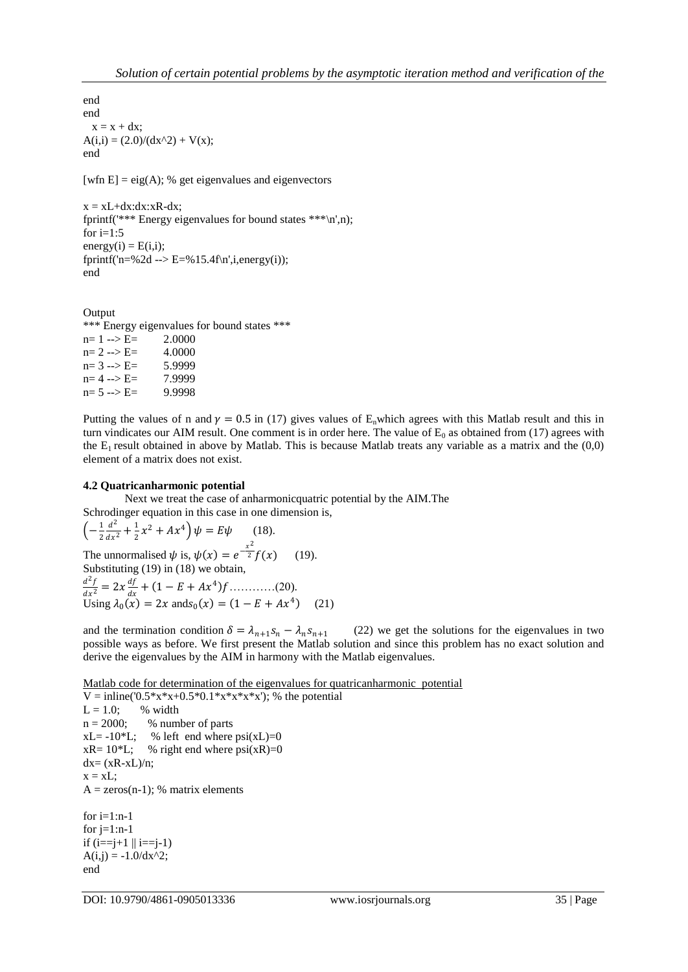end end  $x = x + dx$ ;  $A(i,i) = (2.0)/(dx^2) + V(x);$ end [wfn E] = eig(A); % get eigenvalues and eigenvectors  $x = xL+dx:dx:xR-dx;$ 

fprintf('\*\*\* Energy eigenvalues for bound states \*\*\*\n',n); for  $i=1:5$  $energy(i) = E(i,i);$ fprintf('n=%2d --> E=%15.4f\n',i,energy(i)); end

**Output** \*\*\* Energy eigenvalues for bound states \*\*\*  $n= 1 \rightarrow E=$  2.0000  $n= 2 \rightarrow E=$  4.0000  $n= 3 \rightarrow E=$  5.9999  $n= 4 \rightarrow E=$  7.9999  $n= 5 \rightarrow E=$  9.9998

Putting the values of n and  $\gamma = 0.5$  in (17) gives values of E<sub>n</sub>which agrees with this Matlab result and this in turn vindicates our AIM result. One comment is in order here. The value of  $E_0$  as obtained from (17) agrees with the  $E_1$  result obtained in above by Matlab. This is because Matlab treats any variable as a matrix and the  $(0,0)$ element of a matrix does not exist.

## **4.2 Quatricanharmonic potential**

Next we treat the case of anharmonicquatric potential by the AIM.The Schrodinger equation in this case in one dimension is,

$$
\left(-\frac{1}{2}\frac{d^2}{dx^2} + \frac{1}{2}x^2 + Ax^4\right)\psi = E\psi \qquad (18).
$$
  
The unnormalised  $\psi$  is,  $\psi(x) = e^{-\frac{x^2}{2}}f(x) \qquad (19).$   
Substituting (19) in (18) we obtain,  

$$
\frac{d^2f}{dx^2} = 2x\frac{df}{dx} + (1 - E + Ax^4)f \qquad (20).
$$
  
Using  $\lambda_0(x) = 2x$  and  $s_0(x) = (1 - E + Ax^4) \qquad (21)$ 

and the termination condition  $\delta = \lambda_{n+1} s_n - \lambda_n s_{n+1}$  (22) we get the solutions for the eigenvalues in two possible ways as before. We first present the Matlab solution and since this problem has no exact solution and derive the eigenvalues by the AIM in harmony with the Matlab eigenvalues.

Matlab code for determination of the eigenvalues for quatricanharmonic potential

 $V =$  inline('0.5\*x\*x+0.5\*0.1\*x\*x\*x\*x'); % the potential  $L = 1.0;$  % width  $n = 2000$ ; % number of parts  $xL = -10*L$ ; % left end where  $psi(xL)=0$  $xR = 10*L$ ; % right end where  $psi(xR)=0$  $dx=(xR-xL)/n;$  $x = xL;$  $A = zeros(n-1)$ ; % matrix elements for  $i=1:n-1$ for  $i=1:n-1$ 

if  $(i == j + 1 || i == j - 1)$  $A(i,j) = -1.0/dx^2;$ end